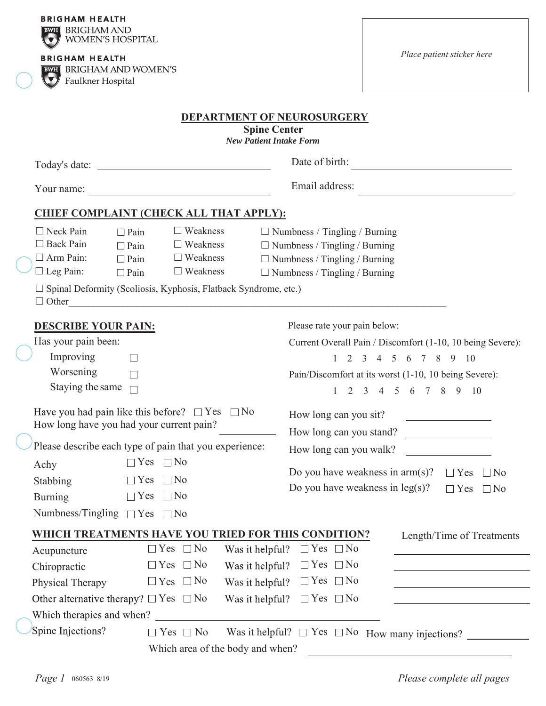| Faulkner Hospital                                                                                      | <b>BWH</b> BRIGHAM AND WOMEN'S                                                                                                                                                                                 | <b>DEPARTMENT OF NEUROSURGERY</b><br><b>Spine Center</b>                                                                                                                                                                        |  |  |  |  |  |  |
|--------------------------------------------------------------------------------------------------------|----------------------------------------------------------------------------------------------------------------------------------------------------------------------------------------------------------------|---------------------------------------------------------------------------------------------------------------------------------------------------------------------------------------------------------------------------------|--|--|--|--|--|--|
|                                                                                                        |                                                                                                                                                                                                                | <b>New Patient Intake Form</b>                                                                                                                                                                                                  |  |  |  |  |  |  |
|                                                                                                        | Date of birth:                                                                                                                                                                                                 |                                                                                                                                                                                                                                 |  |  |  |  |  |  |
| Your name:                                                                                             |                                                                                                                                                                                                                | Email address:                                                                                                                                                                                                                  |  |  |  |  |  |  |
|                                                                                                        | <b>CHIEF COMPLAINT (CHECK ALL THAT APPLY):</b>                                                                                                                                                                 |                                                                                                                                                                                                                                 |  |  |  |  |  |  |
| $\Box$ Neck Pain<br>$\Box$ Back Pain<br>$\Box$ Arm Pain:<br>$\Box$ Leg Pain:                           | $\Box$ Weakness<br>$\Box$ Pain<br>$\Box$ Weakness<br>$\Box$ Pain<br>$\Box$ Weakness<br>$\Box$ Pain<br>$\Box$ Weakness<br>$\Box$ Pain<br>$\Box$ Spinal Deformity (Scoliosis, Kyphosis, Flatback Syndrome, etc.) | $\Box$ Numbness / Tingling / Burning<br>$\Box$ Numbness / Tingling / Burning<br>$\Box$ Numbness / Tingling / Burning<br>$\Box$ Numbness / Tingling / Burning<br>$\Box$ Other                                                    |  |  |  |  |  |  |
| <b>DESCRIBE YOUR PAIN:</b><br>Has your pain been:<br>Improving<br>Worsening<br>Staying the same $\Box$ |                                                                                                                                                                                                                | Please rate your pain below:<br>Current Overall Pain / Discomfort (1-10, 10 being Severe):<br>2 3 4 5 6 7 8 9 10<br>$\mathbf{1}$<br>Pain/Discomfort at its worst (1-10, 10 being Severe):<br>2 3 4 5 6 7 8 9 10<br>$\mathbf{1}$ |  |  |  |  |  |  |
|                                                                                                        | How long have you had your current pain?<br>Please describe each type of pain that you experience:                                                                                                             | Have you had pain like this before? $\Box$ Yes $\Box$ No How long can you sit?<br>How long can you stand?<br>How long can you walk?                                                                                             |  |  |  |  |  |  |
| Achy<br>Stabbing<br><b>Burning</b>                                                                     | $\Box$ Yes $\Box$ No<br>$\Box$ No<br>$\Box$ Yes<br>$\Box$ Yes $\Box$ No<br>Numbness/Tingling $\Box$ Yes $\Box$ No                                                                                              | Do you have weakness in $arm(s)$ ?<br>$\Box$ Yes $\Box$ No<br>Do you have weakness in $leg(s)$ ?<br>$\Box$ Yes $\Box$ No                                                                                                        |  |  |  |  |  |  |
|                                                                                                        |                                                                                                                                                                                                                | WHICH TREATMENTS HAVE YOU TRIED FOR THIS CONDITION?<br>Length/Time of Treatments                                                                                                                                                |  |  |  |  |  |  |
| Acupuncture<br>Chiropractic<br>Physical Therapy                                                        | $\Box$ Yes $\Box$ No<br>$\Box$ Yes $\Box$ No<br>$\Box$ Yes $\Box$ No<br>Other alternative therapy? $\Box$ Yes $\Box$ No                                                                                        | Was it helpful?<br>$\Box$ Yes $\Box$ No<br>$\Box$ Yes $\Box$ No<br>Was it helpful?<br><u> 1980 - Johann Barbara, martin d</u><br>$\Box$ Yes $\Box$ No<br>Was it helpful?<br>$\Box$ Yes $\Box$ No<br>Was it helpful?             |  |  |  |  |  |  |
| Spine Injections?                                                                                      | Which therapies and when?<br>$\Box$ Yes $\Box$ No                                                                                                                                                              | Was it helpful? $\Box$ Yes $\Box$ No How many injections?                                                                                                                                                                       |  |  |  |  |  |  |
|                                                                                                        | Which area of the body and when?                                                                                                                                                                               |                                                                                                                                                                                                                                 |  |  |  |  |  |  |

-